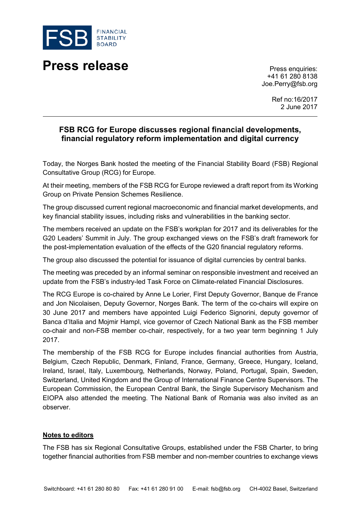

## **Press release** Press enquiries:

+41 61 280 8138 Joe.Perry@fsb.org

> Ref no:16/2017 2 June 2017

## **FSB RCG for Europe discusses regional financial developments, financial regulatory reform implementation and digital currency**

Today, the Norges Bank hosted the meeting of the Financial Stability Board (FSB) Regional Consultative Group (RCG) for Europe.

At their meeting, members of the FSB RCG for Europe reviewed a draft report from its Working Group on Private Pension Schemes Resilience.

The group discussed current regional macroeconomic and financial market developments, and key financial stability issues, including risks and vulnerabilities in the banking sector.

The members received an update on the FSB's workplan for 2017 and its deliverables for the G20 Leaders' Summit in July. The group exchanged views on the FSB's draft framework for the post-implementation evaluation of the effects of the G20 financial regulatory reforms.

The group also discussed the potential for issuance of digital currencies by central banks.

The meeting was preceded by an informal seminar on responsible investment and received an update from the FSB's industry-led Task Force on Climate-related Financial Disclosures.

The RCG Europe is co-chaired by Anne Le Lorier, First Deputy Governor, Banque de France and Jon Nicolaisen, Deputy Governor, Norges Bank. The term of the co-chairs will expire on 30 June 2017 and members have appointed Luigi Federico Signorini, deputy governor of Banca d'Italia and Mojmir Hampl, vice governor of Czech National Bank as the FSB member co-chair and non-FSB member co-chair, respectively, for a two year term beginning 1 July 2017.

The membership of the FSB RCG for Europe includes financial authorities from Austria, Belgium, Czech Republic, Denmark, Finland, France, Germany, Greece, Hungary, Iceland, Ireland, Israel, Italy, Luxembourg, Netherlands, Norway, Poland, Portugal, Spain, Sweden, Switzerland, United Kingdom and the Group of International Finance Centre Supervisors. The European Commission, the European Central Bank, the Single Supervisory Mechanism and EIOPA also attended the meeting. The National Bank of Romania was also invited as an observer.

## **Notes to editors**

The FSB has six Regional Consultative Groups, established under the FSB Charter, to bring together financial authorities from FSB member and non-member countries to exchange views